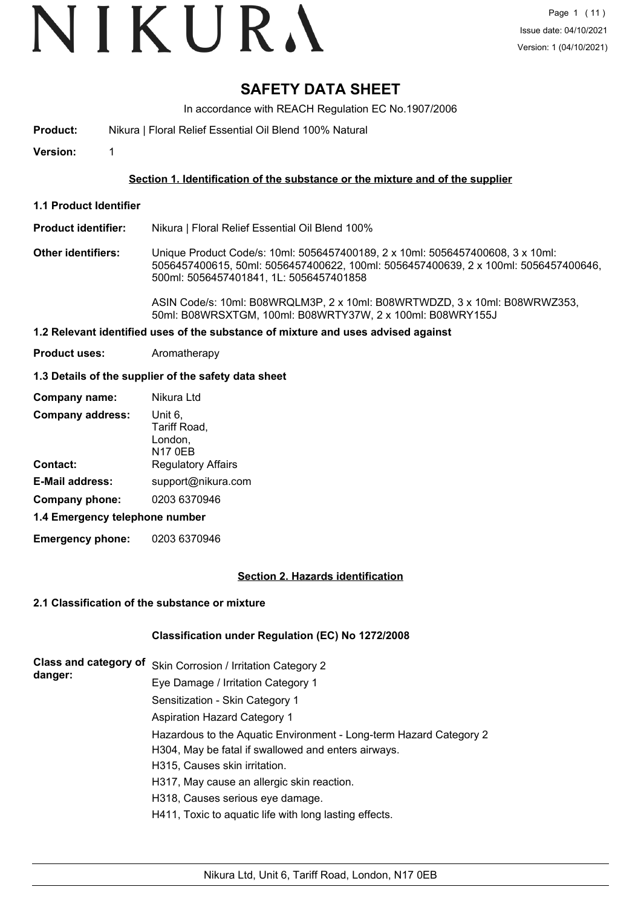# VIKURA

## **SAFETY DATA SHEET**

In accordance with REACH Regulation EC No.1907/2006

- **Product:** Nikura | Floral Relief Essential Oil Blend 100% Natural
- **Version:** 1

#### **Section 1. Identification of the substance or the mixture and of the supplier**

- **1.1 Product Identifier**
- **Product identifier:** Nikura | Floral Relief Essential Oil Blend 100%
- **Other identifiers:** Unique Product Code/s: 10ml: 5056457400189, 2 x 10ml: 5056457400608, 3 x 10ml: 5056457400615, 50ml: 5056457400622, 100ml: 5056457400639, 2 x 100ml: 5056457400646, 500ml: 5056457401841, 1L: 5056457401858

ASIN Code/s: 10ml: B08WRQLM3P, 2 x 10ml: B08WRTWDZD, 3 x 10ml: B08WRWZ353, 50ml: B08WRSXTGM, 100ml: B08WRTY37W, 2 x 100ml: B08WRY155J

#### **1.2 Relevant identified uses of the substance of mixture and uses advised against**

**Product uses:** Aromatherapy

#### **1.3 Details of the supplier of the safety data sheet**

| Company name:                  | Nikura Ltd                                           |
|--------------------------------|------------------------------------------------------|
| <b>Company address:</b>        | Unit 6,<br>Tariff Road,<br>London,<br><b>N17 0EB</b> |
| <b>Contact:</b>                | <b>Regulatory Affairs</b>                            |
| <b>E-Mail address:</b>         | support@nikura.com                                   |
| Company phone:                 | 0203 6370946                                         |
| 1.4 Emergency telephone number |                                                      |

**Emergency phone:** 0203 6370946

#### **Section 2. Hazards identification**

#### **2.1 Classification of the substance or mixture**

#### **Classification under Regulation (EC) No 1272/2008**

| Class and category of | Skin Corrosion / Irritation Category 2                             |
|-----------------------|--------------------------------------------------------------------|
| danger:               | Eye Damage / Irritation Category 1                                 |
|                       | Sensitization - Skin Category 1                                    |
|                       | <b>Aspiration Hazard Category 1</b>                                |
|                       | Hazardous to the Aquatic Environment - Long-term Hazard Category 2 |
|                       | H304, May be fatal if swallowed and enters airways.                |
|                       | H315, Causes skin irritation.                                      |
|                       | H317, May cause an allergic skin reaction.                         |
|                       | H318, Causes serious eye damage.                                   |
|                       | H411, Toxic to aquatic life with long lasting effects.             |
|                       |                                                                    |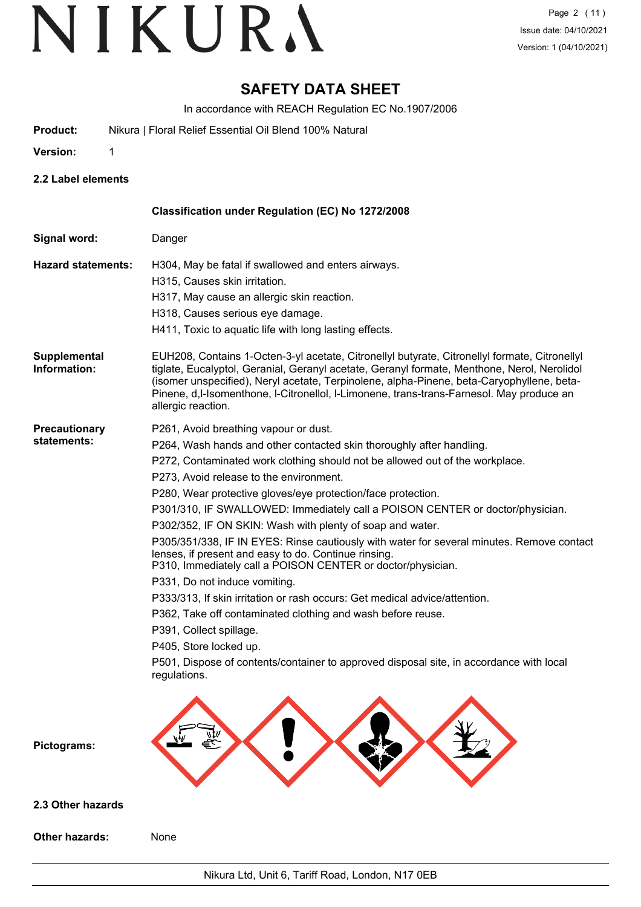## **SAFETY DATA SHEET**

In accordance with REACH Regulation EC No.1907/2006

- **Product:** Nikura | Floral Relief Essential Oil Blend 100% Natural
- **Version:** 1

**2.2 Label elements**

|                              | Classification under Regulation (EC) No 1272/2008                                                                                                                                                                                                                                                                                                                                                                                                                                                                                                                                                                                                                                                                                                                                                                                                                                                                                                                                                                        |
|------------------------------|--------------------------------------------------------------------------------------------------------------------------------------------------------------------------------------------------------------------------------------------------------------------------------------------------------------------------------------------------------------------------------------------------------------------------------------------------------------------------------------------------------------------------------------------------------------------------------------------------------------------------------------------------------------------------------------------------------------------------------------------------------------------------------------------------------------------------------------------------------------------------------------------------------------------------------------------------------------------------------------------------------------------------|
| Signal word:                 | Danger                                                                                                                                                                                                                                                                                                                                                                                                                                                                                                                                                                                                                                                                                                                                                                                                                                                                                                                                                                                                                   |
| <b>Hazard statements:</b>    | H304, May be fatal if swallowed and enters airways.<br>H315, Causes skin irritation.<br>H317, May cause an allergic skin reaction.<br>H318, Causes serious eye damage.<br>H411, Toxic to aquatic life with long lasting effects.                                                                                                                                                                                                                                                                                                                                                                                                                                                                                                                                                                                                                                                                                                                                                                                         |
| Supplemental<br>Information: | EUH208, Contains 1-Octen-3-yl acetate, Citronellyl butyrate, Citronellyl formate, Citronellyl<br>tiglate, Eucalyptol, Geranial, Geranyl acetate, Geranyl formate, Menthone, Nerol, Nerolidol<br>(isomer unspecified), Neryl acetate, Terpinolene, alpha-Pinene, beta-Caryophyllene, beta-<br>Pinene, d,I-Isomenthone, I-Citronellol, I-Limonene, trans-trans-Farnesol. May produce an<br>allergic reaction.                                                                                                                                                                                                                                                                                                                                                                                                                                                                                                                                                                                                              |
| Precautionary<br>statements: | P261, Avoid breathing vapour or dust.<br>P264, Wash hands and other contacted skin thoroughly after handling.<br>P272, Contaminated work clothing should not be allowed out of the workplace.<br>P273, Avoid release to the environment.<br>P280, Wear protective gloves/eye protection/face protection.<br>P301/310, IF SWALLOWED: Immediately call a POISON CENTER or doctor/physician.<br>P302/352, IF ON SKIN: Wash with plenty of soap and water.<br>P305/351/338, IF IN EYES: Rinse cautiously with water for several minutes. Remove contact<br>lenses, if present and easy to do. Continue rinsing.<br>P310, Immediately call a POISON CENTER or doctor/physician.<br>P331, Do not induce vomiting.<br>P333/313, If skin irritation or rash occurs: Get medical advice/attention.<br>P362, Take off contaminated clothing and wash before reuse.<br>P391, Collect spillage.<br>P405, Store locked up.<br>P501, Dispose of contents/container to approved disposal site, in accordance with local<br>regulations. |
| Pictograms:                  |                                                                                                                                                                                                                                                                                                                                                                                                                                                                                                                                                                                                                                                                                                                                                                                                                                                                                                                                                                                                                          |
| 2.3 Other hazards            |                                                                                                                                                                                                                                                                                                                                                                                                                                                                                                                                                                                                                                                                                                                                                                                                                                                                                                                                                                                                                          |
| <b>Other hazards:</b>        | None                                                                                                                                                                                                                                                                                                                                                                                                                                                                                                                                                                                                                                                                                                                                                                                                                                                                                                                                                                                                                     |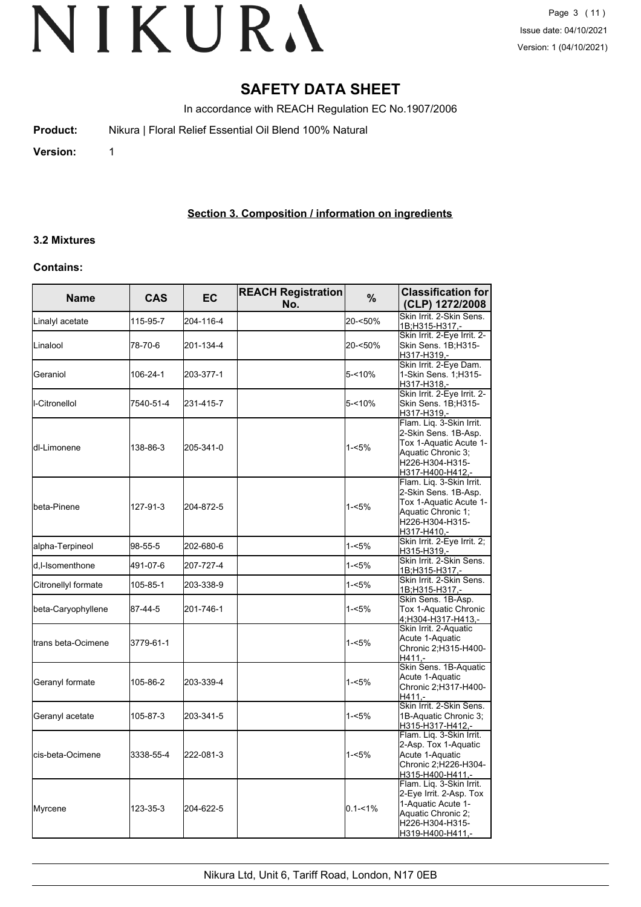## **SAFETY DATA SHEET**

In accordance with REACH Regulation EC No.1907/2006

**Product:** Nikura | Floral Relief Essential Oil Blend 100% Natural

**Version:** 1

### **Section 3. Composition / information on ingredients**

### **3.2 Mixtures**

#### **Contains:**

| <b>Name</b>         | <b>CAS</b> | EC        | <b>REACH Registration</b><br>No. | $\frac{9}{6}$ | <b>Classification for</b><br>(CLP) 1272/2008                                                                                            |
|---------------------|------------|-----------|----------------------------------|---------------|-----------------------------------------------------------------------------------------------------------------------------------------|
| Linalyl acetate     | 115-95-7   | 204-116-4 |                                  | 20-<50%       | Skin Irrit. 2-Skin Sens.<br>1B;H315-H317,-                                                                                              |
| Linalool            | 78-70-6    | 201-134-4 |                                  | 20-<50%       | Skin Irrit. 2-Eye Irrit. 2-<br>Skin Sens. 1B;H315-<br>H317-H319,-                                                                       |
| Geraniol            | 106-24-1   | 203-377-1 |                                  | $5 - 10%$     | Skin Irrit. 2-Eye Dam.<br>1-Skin Sens. 1;H315-<br>H317-H318,-                                                                           |
| I-Citronellol       | 7540-51-4  | 231-415-7 |                                  | 5-<10%        | Skin Irrit. 2-Eye Irrit. 2-<br>Skin Sens. 1B;H315-<br>H317-H319,-                                                                       |
| dl-Limonene         | 138-86-3   | 205-341-0 |                                  | 1-<5%         | Flam. Liq. 3-Skin Irrit.<br>2-Skin Sens. 1B-Asp.<br>Tox 1-Aquatic Acute 1-<br>Aquatic Chronic 3;<br>H226-H304-H315-<br>H317-H400-H412,- |
| lbeta-Pinene        | 127-91-3   | 204-872-5 |                                  | 1-<5%         | Flam. Liq. 3-Skin Irrit.<br>2-Skin Sens. 1B-Asp.<br>Tox 1-Aquatic Acute 1-<br>Aquatic Chronic 1;<br>H226-H304-H315-<br>H317-H410,-      |
| alpha-Terpineol     | 98-55-5    | 202-680-6 |                                  | $1 - 5%$      | Skin Irrit. 2-Eye Irrit. 2;<br>H315-H319,-                                                                                              |
| d,I-Isomenthone     | 491-07-6   | 207-727-4 |                                  | $1 - 5%$      | Skin Irrit. 2-Skin Sens.<br>1B;H315-H317.-                                                                                              |
| Citronellyl formate | 105-85-1   | 203-338-9 |                                  | $1 - 5%$      | Skin Irrit. 2-Skin Sens.<br>1B;H315-H317,-                                                                                              |
| beta-Caryophyllene  | 87-44-5    | 201-746-1 |                                  | $1 - 5%$      | Skin Sens. 1B-Asp.<br>Tox 1-Aquatic Chronic<br>4;H304-H317-H413,-                                                                       |
| trans beta-Ocimene  | 3779-61-1  |           |                                  | $1 - 5%$      | Skin Irrit. 2-Aquatic<br>Acute 1-Aquatic<br>Chronic 2;H315-H400-<br>$H411,-$                                                            |
| Geranyl formate     | 105-86-2   | 203-339-4 |                                  | $1 - 5%$      | Skin Sens. 1B-Aquatic<br>Acute 1-Aquatic<br>Chronic 2;H317-H400-<br>H411.-                                                              |
| Geranyl acetate     | 105-87-3   | 203-341-5 |                                  | $1 - 5%$      | Skin Irrit. 2-Skin Sens.<br>1B-Aquatic Chronic 3;<br>H315-H317-H412,-                                                                   |
| cis-beta-Ocimene    | 3338-55-4  | 222-081-3 |                                  | $1 - 5%$      | Flam. Liq. 3-Skin Irrit.<br>2-Asp. Tox 1-Aquatic<br>Acute 1-Aquatic<br>Chronic 2;H226-H304-<br>H315-H400-H411.-                         |
| Myrcene             | 123-35-3   | 204-622-5 |                                  | $0.1 - 1\%$   | Flam. Liq. 3-Skin Irrit.<br>2-Eye Irrit. 2-Asp. Tox<br>1-Aquatic Acute 1-<br>Aquatic Chronic 2,<br>H226-H304-H315-<br>H319-H400-H411,-  |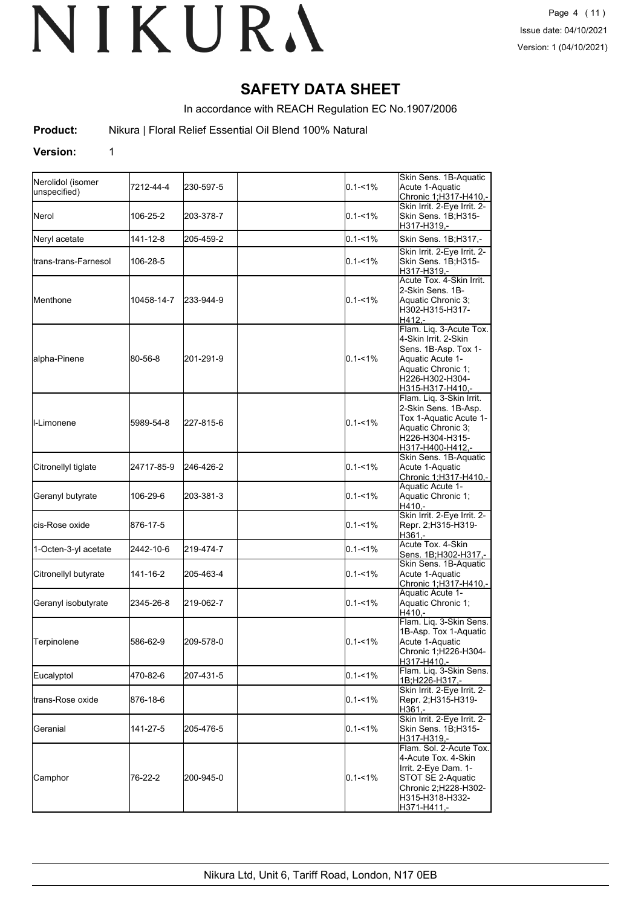## **SAFETY DATA SHEET**

In accordance with REACH Regulation EC No.1907/2006

**Product:** Nikura | Floral Relief Essential Oil Blend 100% Natural

#### **Version:** 1

| Nerolidol (isomer<br>unspecified) | 7212-44-4  | 230-597-5 | $0.1 - 1\%$ | Skin Sens. 1B-Aquatic<br>Acute 1-Aquatic<br>Chronic 1;H317-H410,-                                                                                        |
|-----------------------------------|------------|-----------|-------------|----------------------------------------------------------------------------------------------------------------------------------------------------------|
| <b>I</b> Nerol                    | 106-25-2   | 203-378-7 | $0.1 - 1\%$ | Skin Irrit. 2-Eye Irrit. 2-<br>Skin Sens. 1B;H315-<br>H317-H319,-                                                                                        |
| Neryl acetate                     | 141-12-8   | 205-459-2 | $0.1 - 1\%$ | Skin Sens. 1B;H317,-                                                                                                                                     |
| <b>I</b> trans-trans-Farnesol     | 106-28-5   |           | $0.1 - 1\%$ | Skin Irrit. 2-Eye Irrit. 2-<br>Skin Sens. 1B;H315-<br>H317-H319,-                                                                                        |
| IMenthone                         | 10458-14-7 | 233-944-9 | $0.1 - 1\%$ | Acute Tox. 4-Skin Irrit.<br>2-Skin Sens. 1B-<br>Aquatic Chronic 3;<br>H302-H315-H317-<br>H412.-                                                          |
| alpha-Pinene                      | 80-56-8    | 201-291-9 | $0.1 - 1\%$ | Flam. Liq. 3-Acute Tox.<br>4-Skin Irrit. 2-Skin<br>Sens. 1B-Asp. Tox 1-<br>Aquatic Acute 1-<br>Aquatic Chronic 1;<br>H226-H302-H304-<br>H315-H317-H410,- |
| <b>I</b> I-Limonene               | 5989-54-8  | 227-815-6 | $0.1 - 1\%$ | Flam. Liq. 3-Skin Irrit.<br>2-Skin Sens. 1B-Asp.<br>Tox 1-Aquatic Acute 1-<br>Aquatic Chronic 3;<br>H226-H304-H315-<br>H317-H400-H412,-                  |
| Citronellyl tiglate               | 24717-85-9 | 246-426-2 | $0.1 - 1\%$ | Skin Sens. 1B-Aquatic<br>Acute 1-Aquatic<br>Chronic 1;H317-H410,-                                                                                        |
| Geranyl butyrate                  | 106-29-6   | 203-381-3 | $0.1 - 1\%$ | Aquatic Acute 1-<br>Aquatic Chronic 1;<br>$H410. -$                                                                                                      |
| lcis-Rose oxide                   | 876-17-5   |           | $0.1 - 1\%$ | Skin Irrit. 2-Eye Irrit. 2-<br>Repr. 2;H315-H319-<br>H361,-                                                                                              |
| 1-Octen-3-yl acetate              | 2442-10-6  | 219-474-7 | $0.1 - 1\%$ | Acute Tox. 4-Skin<br>Sens. 1B;H302-H317,-                                                                                                                |
| Citronellyl butyrate              | 141-16-2   | 205-463-4 | $0.1 - 1\%$ | Skin Sens. 1B-Aquatic<br>Acute 1-Aquatic<br><u> Chronic 1;H317-H410,-</u>                                                                                |
| Geranyl isobutyrate               | 2345-26-8  | 219-062-7 | $0.1 - 1\%$ | Aquatic Acute 1-<br>Aquatic Chronic 1;<br>H410,-                                                                                                         |
| Terpinolene                       | 586-62-9   | 209-578-0 | $0.1 - 1\%$ | Flam. Lig. 3-Skin Sens.<br>1B-Asp. Tox 1-Aquatic<br>Acute 1-Aquatic<br>Chronic 1;H226-H304-<br>H317-H410,-                                               |
| Eucalyptol                        | 470-82-6   | 207-431-5 | $0.1 - 1\%$ | Flam. Liq. 3-Skin Sens.<br>1B;H226-H317,-                                                                                                                |
| Itrans-Rose oxide                 | 876-18-6   |           | $0.1 - 1\%$ | Skin Irrit. 2-Eye Irrit. 2-<br>Repr. 2;H315-H319-<br>H361 .-                                                                                             |
| <b>Geranial</b>                   | 141-27-5   | 205-476-5 | $0.1 - 1\%$ | Skin Irrit. 2-Eye Irrit. 2-<br>Skin Sens. 1B;H315-<br>H317-H319,-                                                                                        |
| Camphor                           | 76-22-2    | 200-945-0 | $0.1 - 1\%$ | Flam. Sol. 2-Acute Tox.<br>4-Acute Tox. 4-Skin<br>Irrit. 2-Eye Dam. 1-<br>STOT SE 2-Aquatic<br>Chronic 2;H228-H302-<br>H315-H318-H332-<br>H371-H411,-    |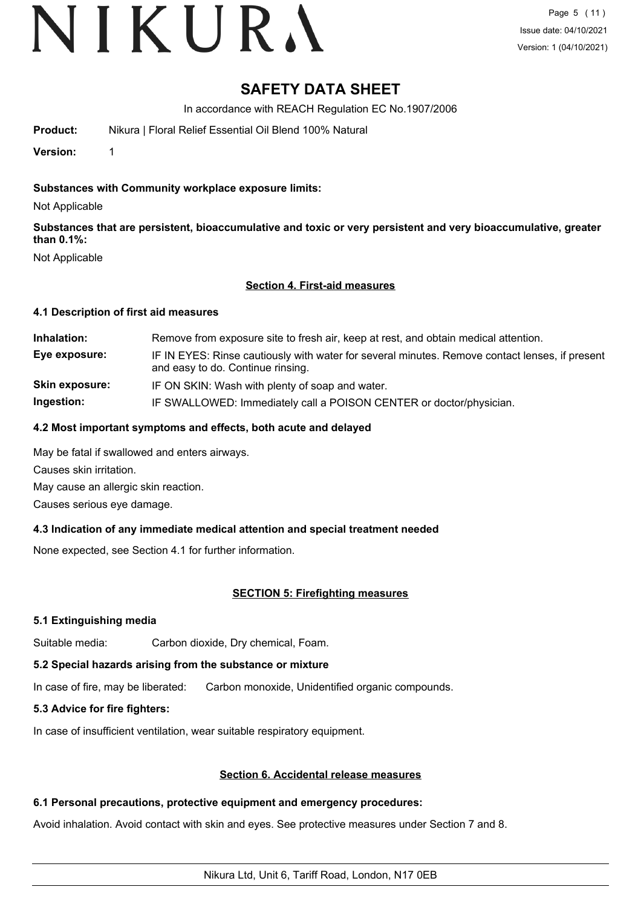# VIKURA

## **SAFETY DATA SHEET**

In accordance with REACH Regulation EC No.1907/2006

**Product:** Nikura | Floral Relief Essential Oil Blend 100% Natural

**Version:** 1

#### **Substances with Community workplace exposure limits:**

Not Applicable

**Substances that are persistent, bioaccumulative and toxic or very persistent and very bioaccumulative, greater than 0.1%:**

Not Applicable

#### **Section 4. First-aid measures**

#### **4.1 Description of first aid measures**

**Inhalation:** Remove from exposure site to fresh air, keep at rest, and obtain medical attention. **Eye exposure:** IF IN EYES: Rinse cautiously with water for several minutes. Remove contact lenses, if present and easy to do. Continue rinsing. **Skin exposure:** IF ON SKIN: Wash with plenty of soap and water. **Ingestion:** IF SWALLOWED: Immediately call a POISON CENTER or doctor/physician.

#### **4.2 Most important symptoms and effects, both acute and delayed**

May be fatal if swallowed and enters airways.

Causes skin irritation.

May cause an allergic skin reaction.

Causes serious eye damage.

### **4.3 Indication of any immediate medical attention and special treatment needed**

None expected, see Section 4.1 for further information.

### **SECTION 5: Firefighting measures**

#### **5.1 Extinguishing media**

Suitable media: Carbon dioxide, Dry chemical, Foam.

#### **5.2 Special hazards arising from the substance or mixture**

In case of fire, may be liberated: Carbon monoxide, Unidentified organic compounds.

### **5.3 Advice for fire fighters:**

In case of insufficient ventilation, wear suitable respiratory equipment.

#### **Section 6. Accidental release measures**

### **6.1 Personal precautions, protective equipment and emergency procedures:**

Avoid inhalation. Avoid contact with skin and eyes. See protective measures under Section 7 and 8.

Nikura Ltd, Unit 6, Tariff Road, London, N17 0EB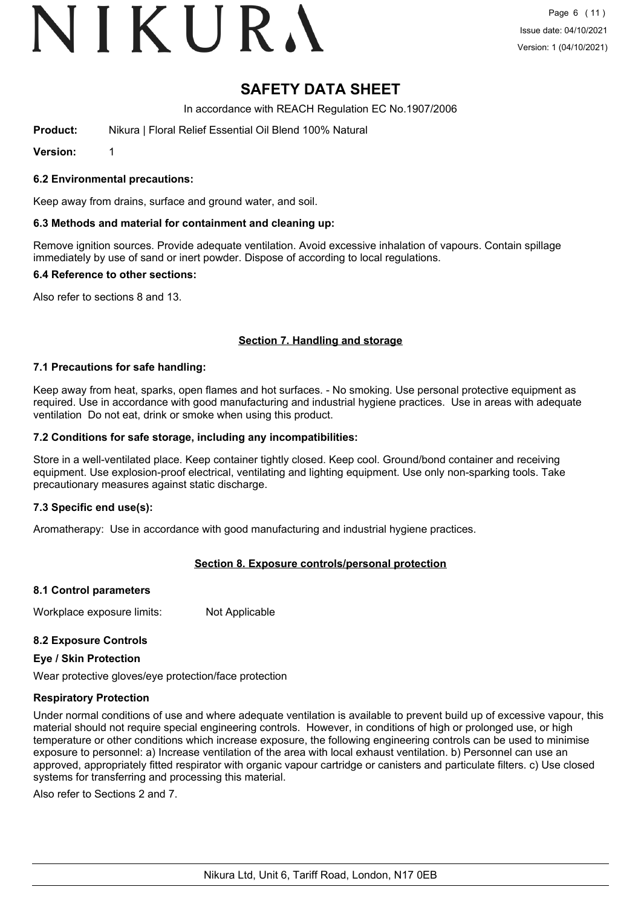# VIKURA

## **SAFETY DATA SHEET**

In accordance with REACH Regulation EC No.1907/2006

**Product:** Nikura | Floral Relief Essential Oil Blend 100% Natural

**Version:** 1

#### **6.2 Environmental precautions:**

Keep away from drains, surface and ground water, and soil.

#### **6.3 Methods and material for containment and cleaning up:**

Remove ignition sources. Provide adequate ventilation. Avoid excessive inhalation of vapours. Contain spillage immediately by use of sand or inert powder. Dispose of according to local regulations.

#### **6.4 Reference to other sections:**

Also refer to sections 8 and 13.

#### **Section 7. Handling and storage**

#### **7.1 Precautions for safe handling:**

Keep away from heat, sparks, open flames and hot surfaces. - No smoking. Use personal protective equipment as required. Use in accordance with good manufacturing and industrial hygiene practices. Use in areas with adequate ventilation Do not eat, drink or smoke when using this product.

#### **7.2 Conditions for safe storage, including any incompatibilities:**

Store in a well-ventilated place. Keep container tightly closed. Keep cool. Ground/bond container and receiving equipment. Use explosion-proof electrical, ventilating and lighting equipment. Use only non-sparking tools. Take precautionary measures against static discharge.

#### **7.3 Specific end use(s):**

Aromatherapy: Use in accordance with good manufacturing and industrial hygiene practices.

#### **Section 8. Exposure controls/personal protection**

#### **8.1 Control parameters**

Workplace exposure limits: Not Applicable

#### **8.2 Exposure Controls**

#### **Eye / Skin Protection**

Wear protective gloves/eye protection/face protection

#### **Respiratory Protection**

Under normal conditions of use and where adequate ventilation is available to prevent build up of excessive vapour, this material should not require special engineering controls. However, in conditions of high or prolonged use, or high temperature or other conditions which increase exposure, the following engineering controls can be used to minimise exposure to personnel: a) Increase ventilation of the area with local exhaust ventilation. b) Personnel can use an approved, appropriately fitted respirator with organic vapour cartridge or canisters and particulate filters. c) Use closed systems for transferring and processing this material.

Also refer to Sections 2 and 7.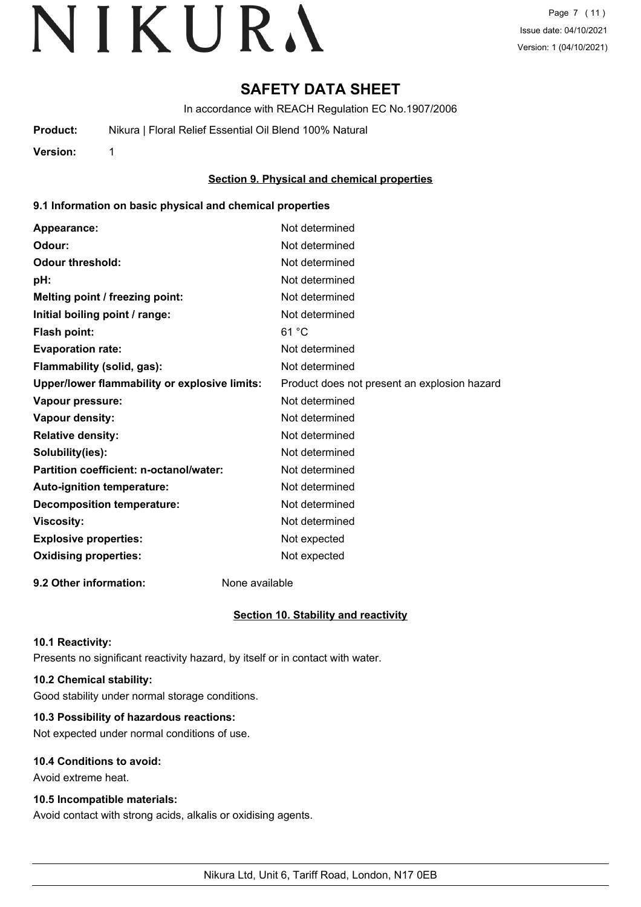## **SAFETY DATA SHEET**

In accordance with REACH Regulation EC No.1907/2006

**Product:** Nikura | Floral Relief Essential Oil Blend 100% Natural

**Version:** 1

#### **Section 9. Physical and chemical properties**

#### **9.1 Information on basic physical and chemical properties**

| Appearance:                                   | Not determined                               |
|-----------------------------------------------|----------------------------------------------|
| Odour:                                        | Not determined                               |
| <b>Odour threshold:</b>                       | Not determined                               |
| pH:                                           | Not determined                               |
| Melting point / freezing point:               | Not determined                               |
| Initial boiling point / range:                | Not determined                               |
| <b>Flash point:</b>                           | 61 °C                                        |
| <b>Evaporation rate:</b>                      | Not determined                               |
| Flammability (solid, gas):                    | Not determined                               |
| Upper/lower flammability or explosive limits: | Product does not present an explosion hazard |
| Vapour pressure:                              | Not determined                               |
| <b>Vapour density:</b>                        | Not determined                               |
| <b>Relative density:</b>                      | Not determined                               |
| Solubility(ies):                              | Not determined                               |
| Partition coefficient: n-octanol/water:       | Not determined                               |
| Auto-ignition temperature:                    | Not determined                               |
| <b>Decomposition temperature:</b>             | Not determined                               |
| <b>Viscosity:</b>                             | Not determined                               |
| <b>Explosive properties:</b>                  | Not expected                                 |
| <b>Oxidising properties:</b>                  | Not expected                                 |
|                                               |                                              |

**9.2 Other information:** None available

### **Section 10. Stability and reactivity**

#### **10.1 Reactivity:**

Presents no significant reactivity hazard, by itself or in contact with water.

#### **10.2 Chemical stability:**

Good stability under normal storage conditions.

#### **10.3 Possibility of hazardous reactions:**

Not expected under normal conditions of use.

#### **10.4 Conditions to avoid:**

Avoid extreme heat.

#### **10.5 Incompatible materials:**

Avoid contact with strong acids, alkalis or oxidising agents.

Nikura Ltd, Unit 6, Tariff Road, London, N17 0EB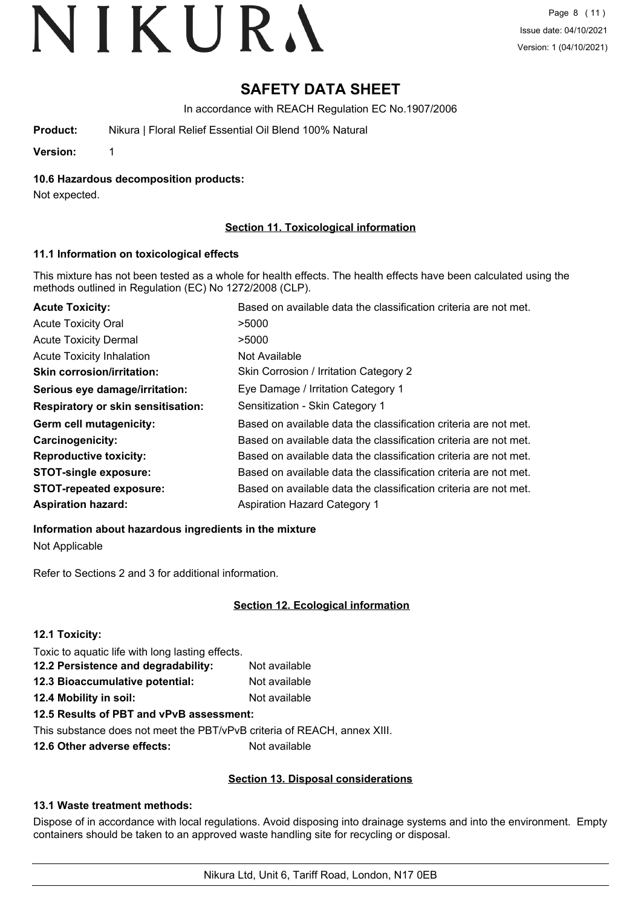## **SAFETY DATA SHEET**

In accordance with REACH Regulation EC No.1907/2006

**Product:** Nikura | Floral Relief Essential Oil Blend 100% Natural

**Version:** 1

**10.6 Hazardous decomposition products:**

Not expected.

### **Section 11. Toxicological information**

#### **11.1 Information on toxicological effects**

This mixture has not been tested as a whole for health effects. The health effects have been calculated using the methods outlined in Regulation (EC) No 1272/2008 (CLP).

| <b>Acute Toxicity:</b>             | Based on available data the classification criteria are not met. |
|------------------------------------|------------------------------------------------------------------|
| <b>Acute Toxicity Oral</b>         | >5000                                                            |
| <b>Acute Toxicity Dermal</b>       | >5000                                                            |
| Acute Toxicity Inhalation          | Not Available                                                    |
| <b>Skin corrosion/irritation:</b>  | Skin Corrosion / Irritation Category 2                           |
| Serious eye damage/irritation:     | Eye Damage / Irritation Category 1                               |
| Respiratory or skin sensitisation: | Sensitization - Skin Category 1                                  |
| Germ cell mutagenicity:            | Based on available data the classification criteria are not met. |
| <b>Carcinogenicity:</b>            | Based on available data the classification criteria are not met. |
| <b>Reproductive toxicity:</b>      | Based on available data the classification criteria are not met. |
| <b>STOT-single exposure:</b>       | Based on available data the classification criteria are not met. |
| <b>STOT-repeated exposure:</b>     | Based on available data the classification criteria are not met. |
| <b>Aspiration hazard:</b>          | <b>Aspiration Hazard Category 1</b>                              |

#### **Information about hazardous ingredients in the mixture**

Not Applicable

Refer to Sections 2 and 3 for additional information.

### **Section 12. Ecological information**

### **12.1 Toxicity:**

Toxic to aquatic life with long lasting effects.

| 12.2 Persistence and degradability: | Not available |
|-------------------------------------|---------------|
| 12.3 Bioaccumulative potential:     | Not available |
| 12.4 Mobility in soil:              | Not available |

### **12.5 Results of PBT and vPvB assessment:**

This substance does not meet the PBT/vPvB criteria of REACH, annex XIII.

**12.6 Other adverse effects:** Not available

### **Section 13. Disposal considerations**

#### **13.1 Waste treatment methods:**

Dispose of in accordance with local regulations. Avoid disposing into drainage systems and into the environment. Empty containers should be taken to an approved waste handling site for recycling or disposal.

Nikura Ltd, Unit 6, Tariff Road, London, N17 0EB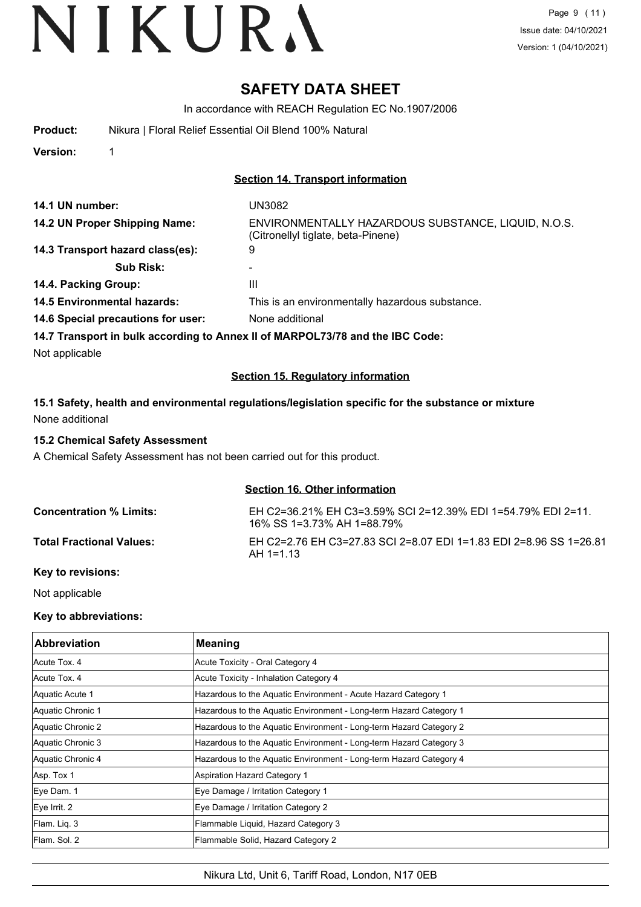## **SAFETY DATA SHEET**

In accordance with REACH Regulation EC No.1907/2006

**Version:** 1

#### **Section 14. Transport information**

| 14.1 UN number:                                                               | UN3082                                                                                    |
|-------------------------------------------------------------------------------|-------------------------------------------------------------------------------------------|
| 14.2 UN Proper Shipping Name:                                                 | ENVIRONMENTALLY HAZARDOUS SUBSTANCE, LIQUID, N.O.S.<br>(Citronellyl tiglate, beta-Pinene) |
| 14.3 Transport hazard class(es):                                              | 9                                                                                         |
| <b>Sub Risk:</b>                                                              |                                                                                           |
| 14.4. Packing Group:                                                          | Ш                                                                                         |
| <b>14.5 Environmental hazards:</b>                                            | This is an environmentally hazardous substance.                                           |
| 14.6 Special precautions for user:                                            | None additional                                                                           |
| 14.7 Transport in bulk according to Annex II of MARPOL73/78 and the IBC Code: |                                                                                           |
| Not applicable                                                                |                                                                                           |

#### **Section 15. Regulatory information**

### **15.1 Safety, health and environmental regulations/legislation specific for the substance or mixture** None additional

#### **15.2 Chemical Safety Assessment**

A Chemical Safety Assessment has not been carried out for this product.

### **Section 16. Other information**

| <b>Concentration % Limits:</b>  | EH C2=36.21% EH C3=3.59% SCI 2=12.39% EDI 1=54.79% EDI 2=11.<br>16% SS 1=3.73% AH 1=88.79% |
|---------------------------------|--------------------------------------------------------------------------------------------|
| <b>Total Fractional Values:</b> | EH C2=2.76 EH C3=27.83 SCI 2=8.07 EDI 1=1.83 EDI 2=8.96 SS 1=26.81<br>AH 1=1 13            |

#### **Key to revisions:**

Not applicable

#### **Key to abbreviations:**

| <b>Abbreviation</b> | <b>Meaning</b>                                                     |
|---------------------|--------------------------------------------------------------------|
| Acute Tox, 4        | Acute Toxicity - Oral Category 4                                   |
| Acute Tox, 4        | Acute Toxicity - Inhalation Category 4                             |
| Aquatic Acute 1     | Hazardous to the Aquatic Environment - Acute Hazard Category 1     |
| Aquatic Chronic 1   | Hazardous to the Aquatic Environment - Long-term Hazard Category 1 |
| Aquatic Chronic 2   | Hazardous to the Aquatic Environment - Long-term Hazard Category 2 |
| Aquatic Chronic 3   | Hazardous to the Aquatic Environment - Long-term Hazard Category 3 |
| Aquatic Chronic 4   | Hazardous to the Aquatic Environment - Long-term Hazard Category 4 |
| Asp. Tox 1          | <b>Aspiration Hazard Category 1</b>                                |
| Eye Dam. 1          | Eye Damage / Irritation Category 1                                 |
| Eye Irrit. 2        | Eye Damage / Irritation Category 2                                 |
| Flam. Liq. 3        | Flammable Liquid, Hazard Category 3                                |
| lFlam. Sol. 2       | Flammable Solid, Hazard Category 2                                 |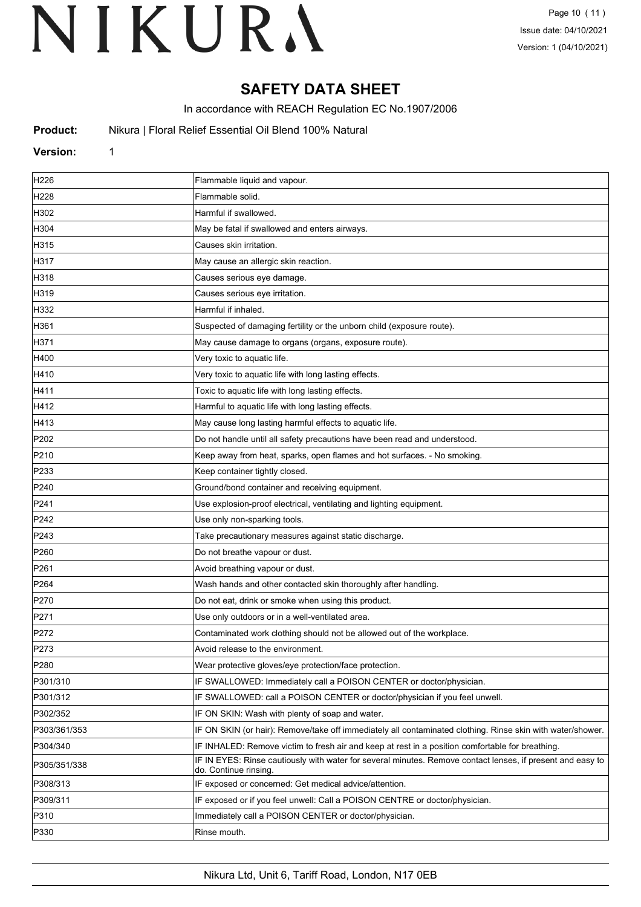## **SAFETY DATA SHEET**

In accordance with REACH Regulation EC No.1907/2006

**Product:** Nikura | Floral Relief Essential Oil Blend 100% Natural

#### **Version:** 1

| H <sub>226</sub> | Flammable liquid and vapour.                                                                                                        |  |
|------------------|-------------------------------------------------------------------------------------------------------------------------------------|--|
| H <sub>228</sub> | Flammable solid.                                                                                                                    |  |
| H302             | Harmful if swallowed.                                                                                                               |  |
| H304             | May be fatal if swallowed and enters airways.                                                                                       |  |
| H315             | Causes skin irritation.                                                                                                             |  |
| H317             | May cause an allergic skin reaction.                                                                                                |  |
| H318             | Causes serious eye damage.                                                                                                          |  |
| H319             | Causes serious eye irritation.                                                                                                      |  |
| H332             | Harmful if inhaled.                                                                                                                 |  |
| H361             | Suspected of damaging fertility or the unborn child (exposure route).                                                               |  |
| H371             | May cause damage to organs (organs, exposure route).                                                                                |  |
| H400             | Very toxic to aquatic life.                                                                                                         |  |
| H410             | Very toxic to aquatic life with long lasting effects.                                                                               |  |
| H411             | Toxic to aquatic life with long lasting effects.                                                                                    |  |
| H412             | Harmful to aquatic life with long lasting effects.                                                                                  |  |
| H413             | May cause long lasting harmful effects to aquatic life.                                                                             |  |
| P202             | Do not handle until all safety precautions have been read and understood.                                                           |  |
| P210             | Keep away from heat, sparks, open flames and hot surfaces. - No smoking.                                                            |  |
| P233             | Keep container tightly closed.                                                                                                      |  |
| P240             | Ground/bond container and receiving equipment.                                                                                      |  |
| P241             | Use explosion-proof electrical, ventilating and lighting equipment.                                                                 |  |
| P242             | Use only non-sparking tools.                                                                                                        |  |
| P243             | Take precautionary measures against static discharge.                                                                               |  |
| P <sub>260</sub> | Do not breathe vapour or dust.                                                                                                      |  |
| P261             | Avoid breathing vapour or dust.                                                                                                     |  |
| P264             | Wash hands and other contacted skin thoroughly after handling.                                                                      |  |
| P270             | Do not eat, drink or smoke when using this product.                                                                                 |  |
| P271             | Use only outdoors or in a well-ventilated area.                                                                                     |  |
| P272             | Contaminated work clothing should not be allowed out of the workplace.                                                              |  |
| P273             | Avoid release to the environment.                                                                                                   |  |
| P <sub>280</sub> | Wear protective gloves/eye protection/face protection.                                                                              |  |
| P301/310         | IF SWALLOWED: Immediately call a POISON CENTER or doctor/physician.                                                                 |  |
| P301/312         | IF SWALLOWED: call a POISON CENTER or doctor/physician if you feel unwell.                                                          |  |
| P302/352         | IF ON SKIN: Wash with plenty of soap and water.                                                                                     |  |
| P303/361/353     | IF ON SKIN (or hair): Remove/take off immediately all contaminated clothing. Rinse skin with water/shower.                          |  |
| P304/340         | IF INHALED: Remove victim to fresh air and keep at rest in a position comfortable for breathing.                                    |  |
| P305/351/338     | IF IN EYES: Rinse cautiously with water for several minutes. Remove contact lenses, if present and easy to<br>do. Continue rinsing. |  |
| P308/313         | IF exposed or concerned: Get medical advice/attention.                                                                              |  |
| P309/311         | IF exposed or if you feel unwell: Call a POISON CENTRE or doctor/physician.                                                         |  |
| P310             | Immediately call a POISON CENTER or doctor/physician.                                                                               |  |
| P330             | Rinse mouth.                                                                                                                        |  |